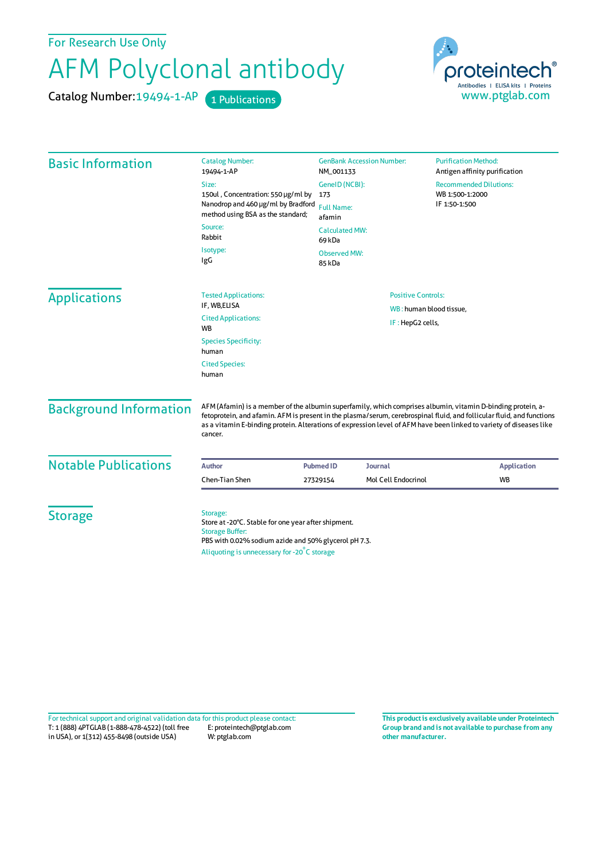For Research Use Only

## AFM Polyclonal antibody

Catalog Number: 19494-1-AP 1 Publications



| <b>Basic Information</b>      | <b>Catalog Number:</b><br>19494-1-AP                                                                                                                                                                                                                                                                                                                                   | <b>GenBank Accession Number:</b><br>NM_001133                                           |                                                      | <b>Purification Method:</b><br>Antigen affinity purification      |                    |
|-------------------------------|------------------------------------------------------------------------------------------------------------------------------------------------------------------------------------------------------------------------------------------------------------------------------------------------------------------------------------------------------------------------|-----------------------------------------------------------------------------------------|------------------------------------------------------|-------------------------------------------------------------------|--------------------|
|                               | Size:<br>150ul, Concentration: 550 µg/ml by<br>Nanodrop and 460 µg/ml by Bradford<br>method using BSA as the standard;                                                                                                                                                                                                                                                 | GeneID (NCBI):<br>173<br><b>Full Name:</b><br>afamin<br><b>Calculated MW:</b><br>69 kDa |                                                      | <b>Recommended Dilutions:</b><br>WB 1:500-1:2000<br>IF 1:50-1:500 |                    |
|                               | Source:<br>Rabbit                                                                                                                                                                                                                                                                                                                                                      |                                                                                         |                                                      |                                                                   |                    |
|                               | Isotype:<br>IgG                                                                                                                                                                                                                                                                                                                                                        | <b>Observed MW:</b><br>85 kDa                                                           |                                                      |                                                                   |                    |
| <b>Applications</b>           | <b>Tested Applications:</b><br>IF, WB,ELISA                                                                                                                                                                                                                                                                                                                            |                                                                                         | <b>Positive Controls:</b><br>WB: human blood tissue, |                                                                   |                    |
|                               | <b>Cited Applications:</b><br><b>WB</b>                                                                                                                                                                                                                                                                                                                                |                                                                                         | IF: HepG2 cells,                                     |                                                                   |                    |
|                               | <b>Species Specificity:</b><br>human                                                                                                                                                                                                                                                                                                                                   |                                                                                         |                                                      |                                                                   |                    |
|                               | <b>Cited Species:</b><br>human                                                                                                                                                                                                                                                                                                                                         |                                                                                         |                                                      |                                                                   |                    |
| <b>Background Information</b> | AFM (Afamin) is a member of the albumin superfamily, which comprises albumin, vitamin D-binding protein, a-<br>fetoprotein, and afamin. AFM is present in the plasma/serum, cerebrospinal fluid, and follicular fluid, and functions<br>as a vitamin E-binding protein. Alterations of expression level of AFM have been linked to variety of diseases like<br>cancer. |                                                                                         |                                                      |                                                                   |                    |
| <b>Notable Publications</b>   | <b>Author</b>                                                                                                                                                                                                                                                                                                                                                          | <b>Pubmed ID</b><br><b>Journal</b>                                                      |                                                      |                                                                   | <b>Application</b> |
|                               | Chen-Tian Shen                                                                                                                                                                                                                                                                                                                                                         | 27329154                                                                                | Mol Cell Endocrinol                                  | <b>WB</b>                                                         |                    |
| <b>Storage</b>                | Storage:<br>Store at -20°C. Stable for one year after shipment.<br><b>Storage Buffer:</b><br>PBS with 0.02% sodium azide and 50% glycerol pH 7.3.<br>Aliquoting is unnecessary for -20°C storage                                                                                                                                                                       |                                                                                         |                                                      |                                                                   |                    |

T: 1 (888) 4PTGLAB (1-888-478-4522) (toll free in USA), or 1(312) 455-8498 (outside USA) E: proteintech@ptglab.com W: ptglab.com Fortechnical support and original validation data forthis product please contact: **This productis exclusively available under Proteintech**

**Group brand and is not available to purchase from any other manufacturer.**